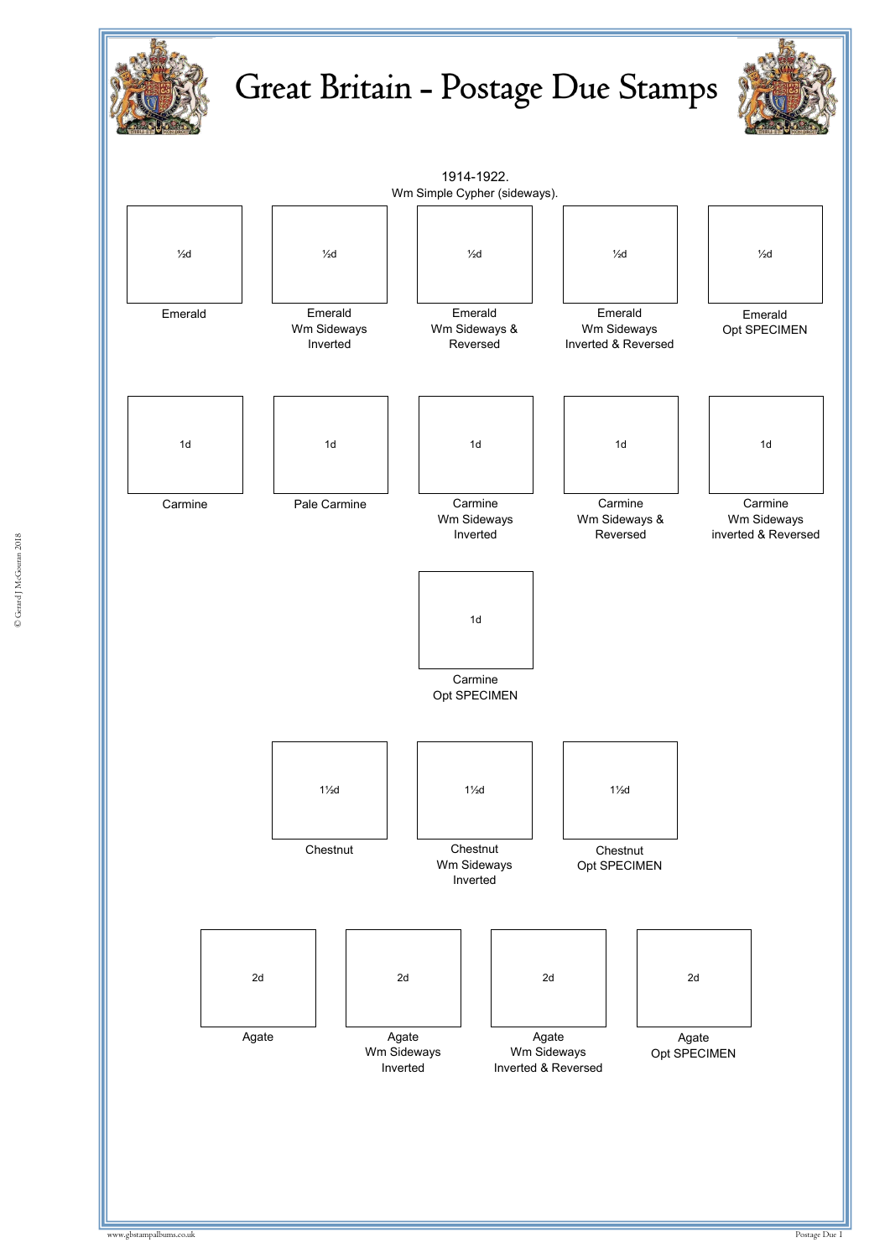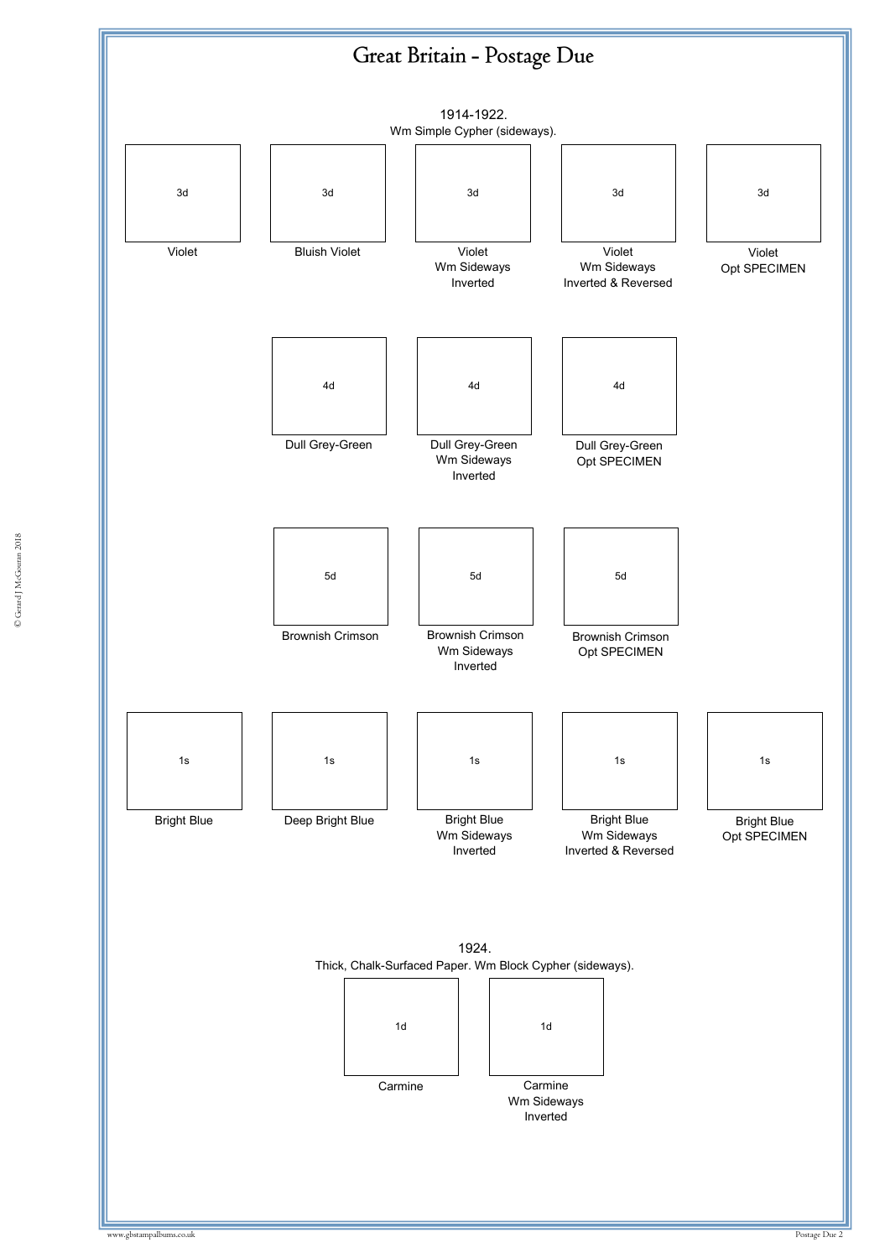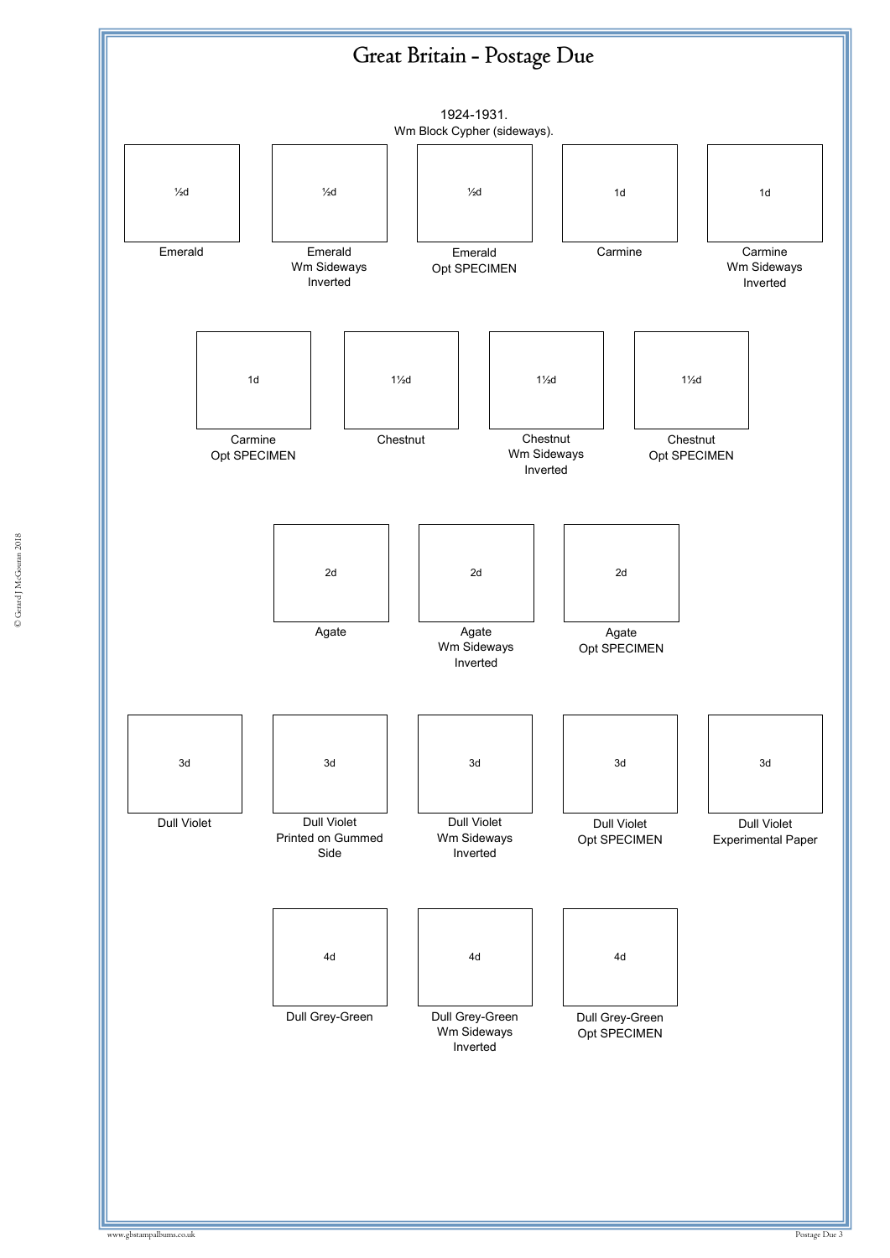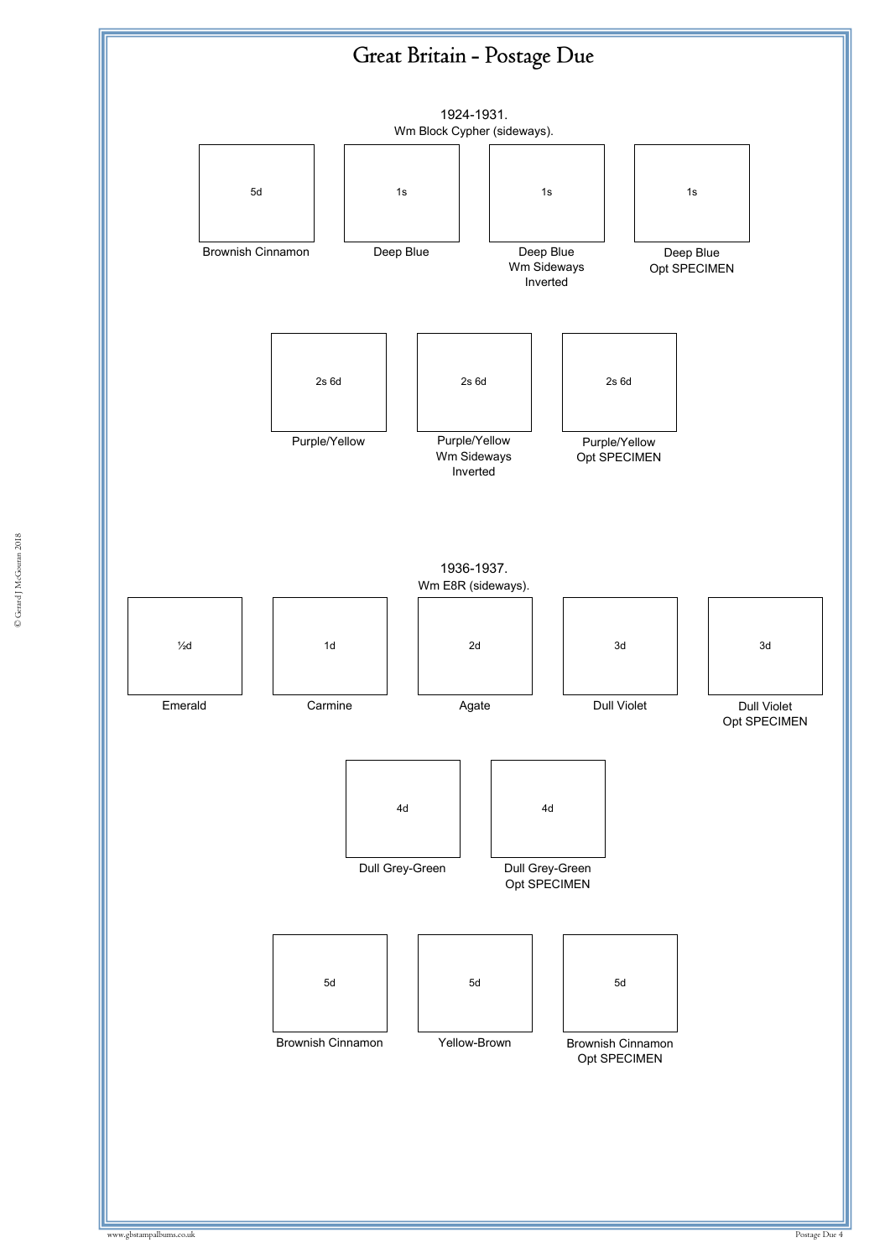

© Gerard J McGouran 2018 © Gerard J McGouran 2018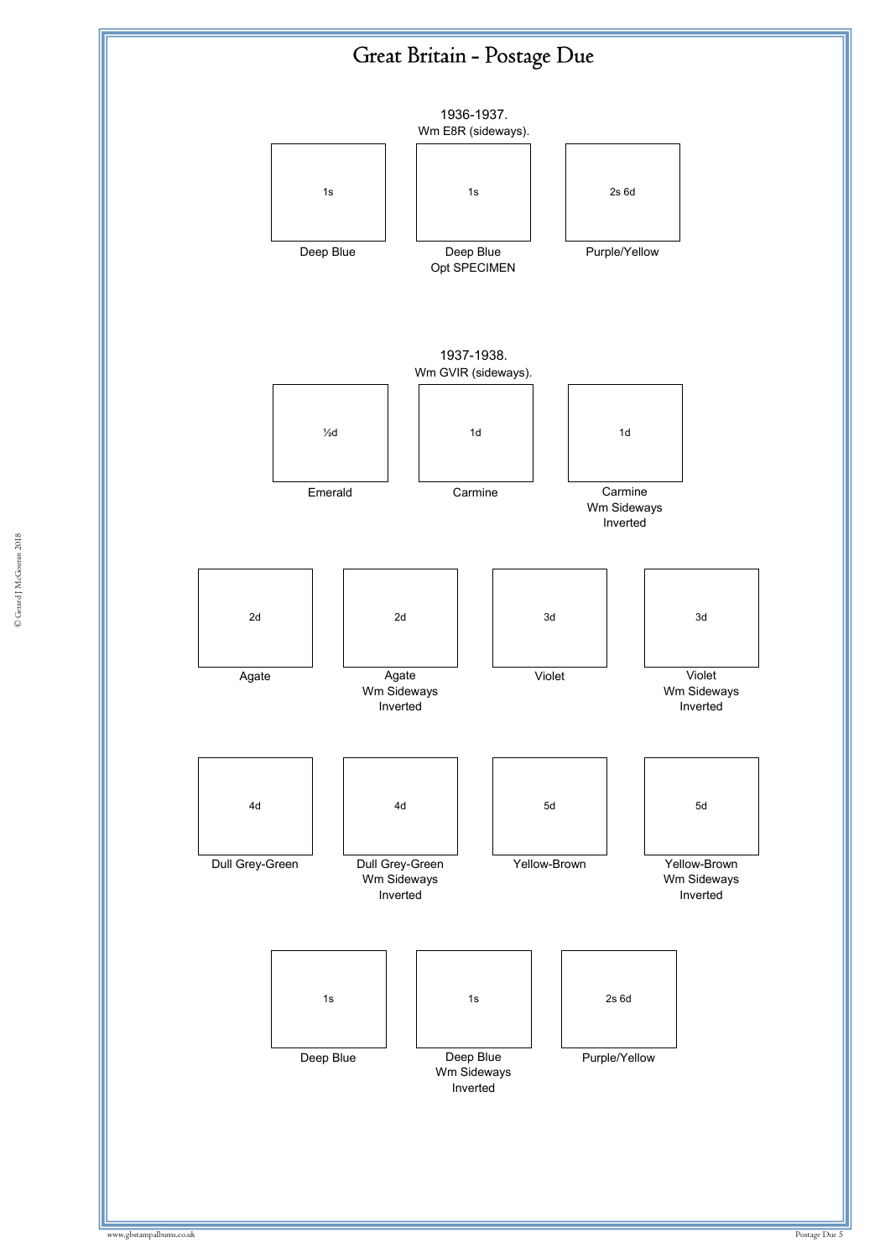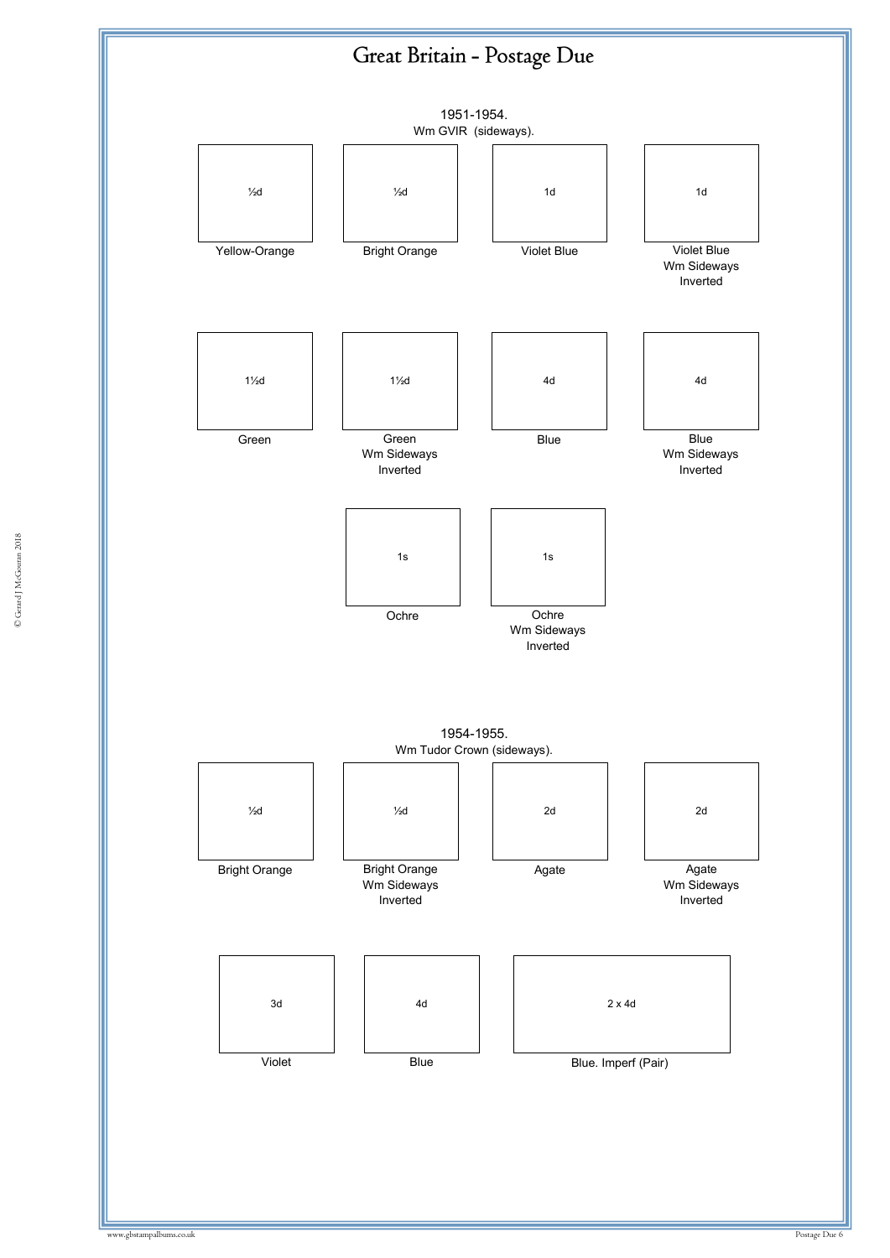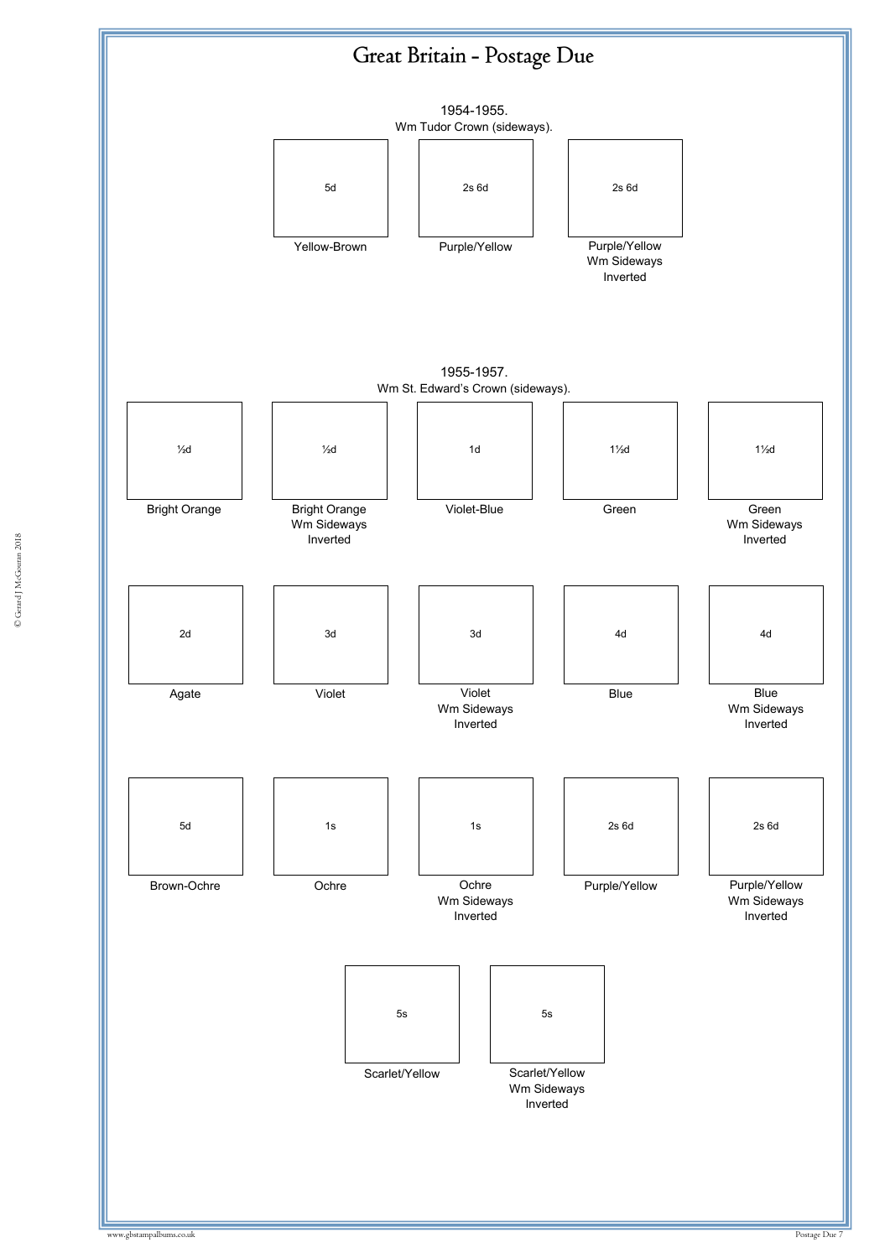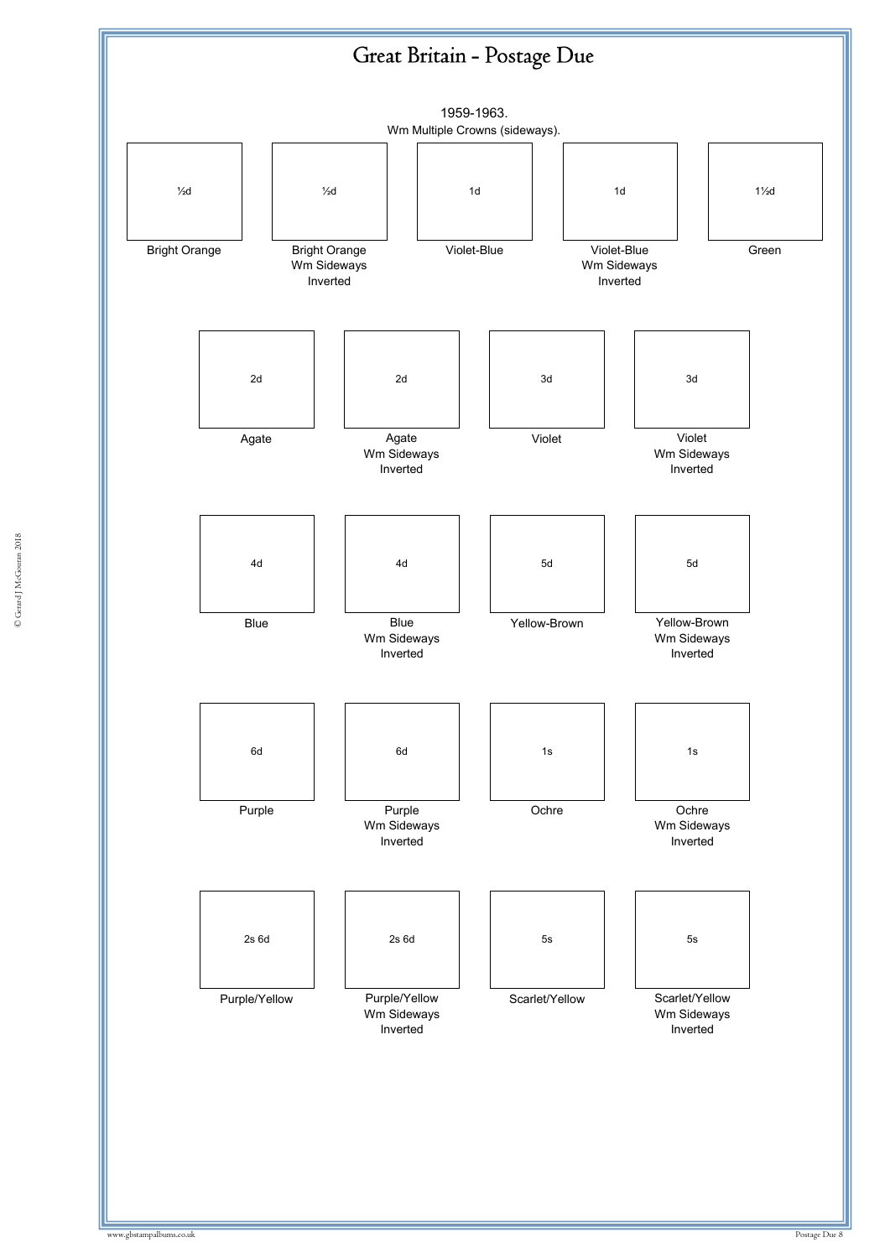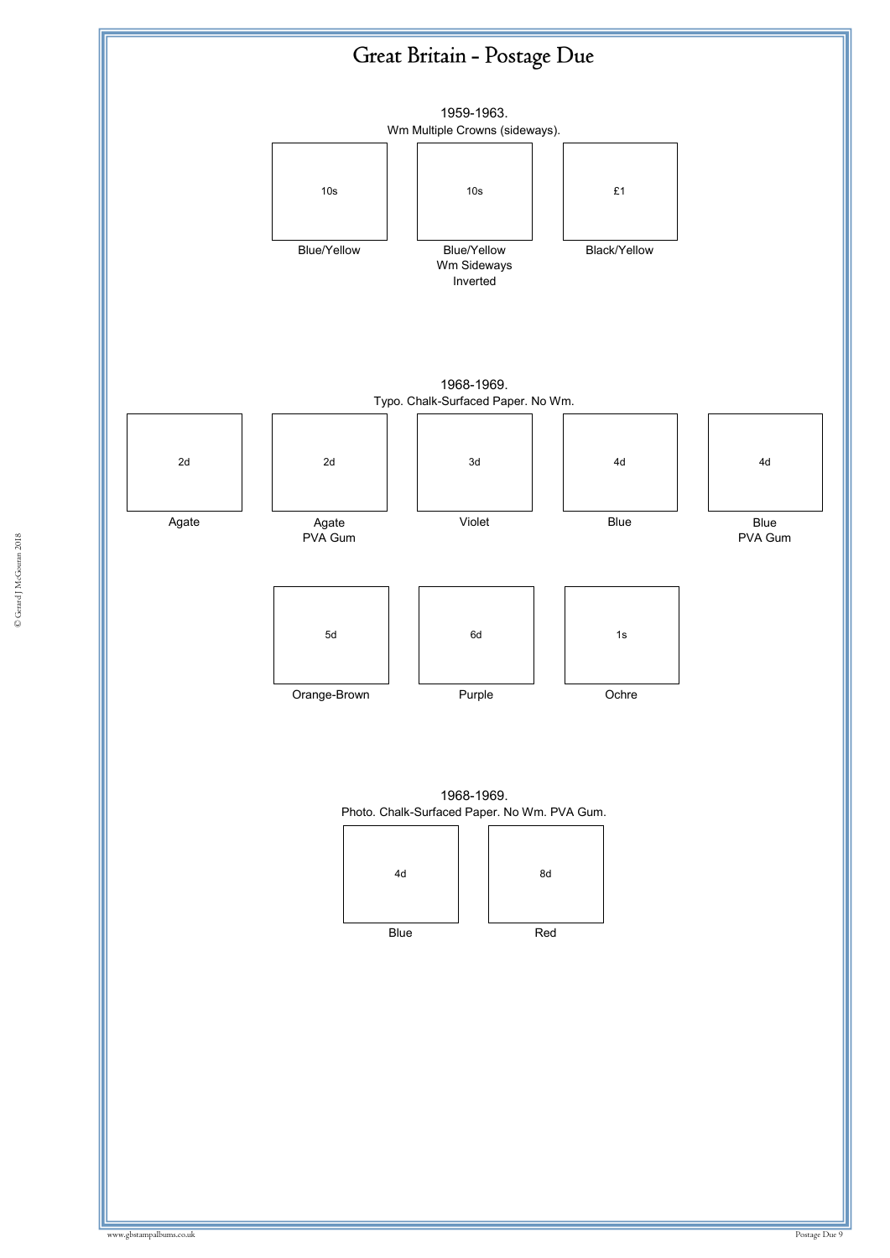

© Gerard J McGouran 2018 © Gerard J McGouran 2018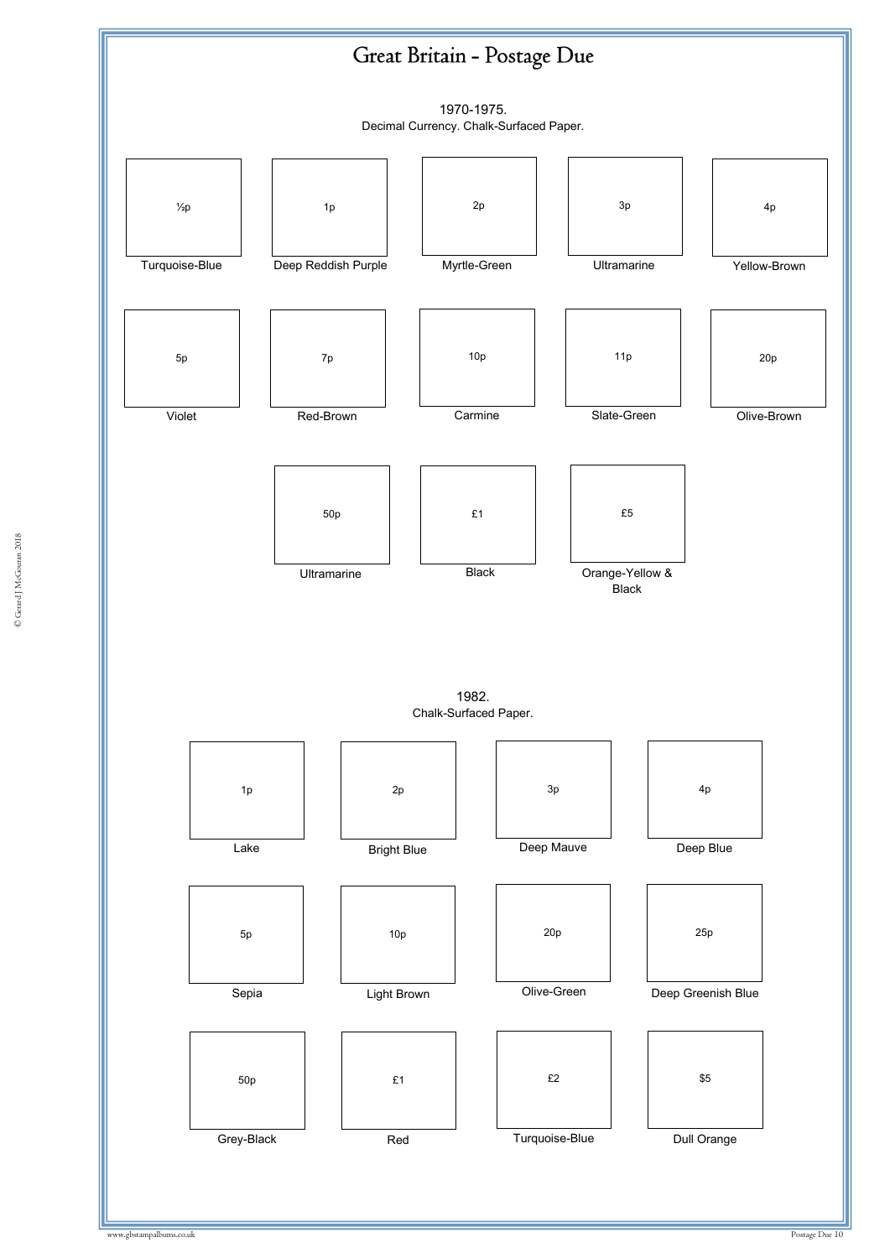